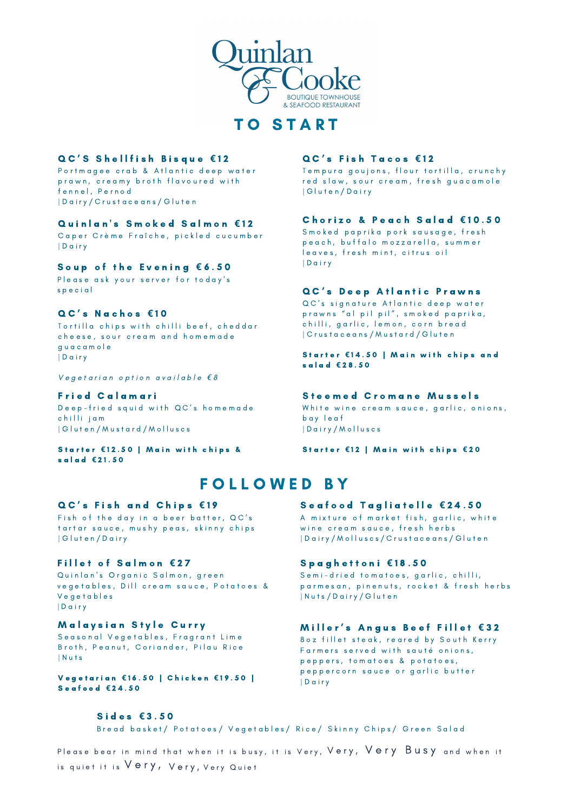

# TO START

#### Q C'S Shellfish Bisque €12

Portmagee crab & Atlantic deep water prawn, creamy broth flavoured with fennel, Pernod | D a i r y / C r u s t a c e a n s / G l u t e n

#### Quinlan's Smoked Salmon €12

Caper Crème Fraîche, pickled cucumber | D a i r y

## Soup of the Evening €6.50 Pairy

Please ask your server for today's s p e c i a l

### Q C ' s N a c h o s **€** 1 0

Tortilla chips with chilli beef, cheddar cheese, sour cream and homemade g u a c a m o l e | D a i r y

#### Vegetarian option available €8

#### F r i e d C a l a m a r i

Deep-fried squid with QC's homemade chilli jam | G luten / Mustard / Molluscs

#### Starter €12.50 | Main with chips & s a l a d **€** 2 1 . 5 0

#### Q C ' s F i s h a n d C h i p s **€** 1 9

Fish of the day in a beer batter,  $QC's$ tartar sauce, mushy peas, skinny chips | G lu t e n / D a i r y

### Fillet of Salmon €27

Quinlan's Organic Salmon, green vegetables, Dill cream sauce, Potatoes & V e g e t a b l e s | D a i r y

#### **Malaysian Style Curry**

Seasonal Vegetables, Fragrant Lime Broth, Peanut, Coriander, Pilau Rice | N u t s

Vegetarian €16.50 | Chicken €19.50 | S e a f o o d **€** 2 4 . 5 0

## Q C's Fish Tacos €12

Tempura goujons, flour tortilla, crunchy red slaw, sour cream, fresh guacamole | G luten / Dairy

### Chorizo & Peach Salad €10.50

Smoked paprika pork sausage, fresh peach, buffalo mozzarella, summer leaves, fresh mint, citrus oil

#### Q C's Deep Atlantic Prawns

Q C's signature Atlantic deep water prawns "al pil pil", smoked paprika, chilli, garlic, lemon, corn bread | C r u s t a c e a n s / M u s t a r d / G l u t e n

Starter €14.50 | Main with chips and s a l a d **€** 2 8 . 5 0

#### Steemed Cromane Mussels

White wine cream sauce, garlic, onions, b a y l e a f | D a i r y / M o l l u s c s

#### Starter €12 | Main with chips €20

# FOLLOWED BY

#### Seafood Tagliatelle €24.50

A mixture of market fish, garlic, white wine cream sauce, fresh herbs | D a i r y / M o l l u s c s / C r u s t a c e a n s / G lu t e n

#### Spaghettoni €18.50

Semi-dried tomatoes, garlic, chilli, parmesan, pinenuts, rocket & fresh herbs | N u t s / D a i r y / G lu t e n

#### **Miller's Angus Beef Fillet €32**

8 oz fillet steak, reared by South Kerry Farmers served with sauté onions, p e p p e r s, t o m a t o e s & p o t a t o e s, peppercorn sauce or garlic butter | D a i r y

#### S i d e s **€** 3 . 5 0

Bread basket/ Potatoes/ Vegetables/ Rice/ Skinny Chips/ Green Salad

Please bear in mind that when it is busy, it is Very,  $\lor$  ery,  $\lor$  ery  $\,$  Busy  $\,$  and when it is quiet it is  $\lor$   $\texttt{ery}$  ,  $\lor$   $\texttt{ery}$  ,  $\lor$   $\texttt{ery}$  Quiet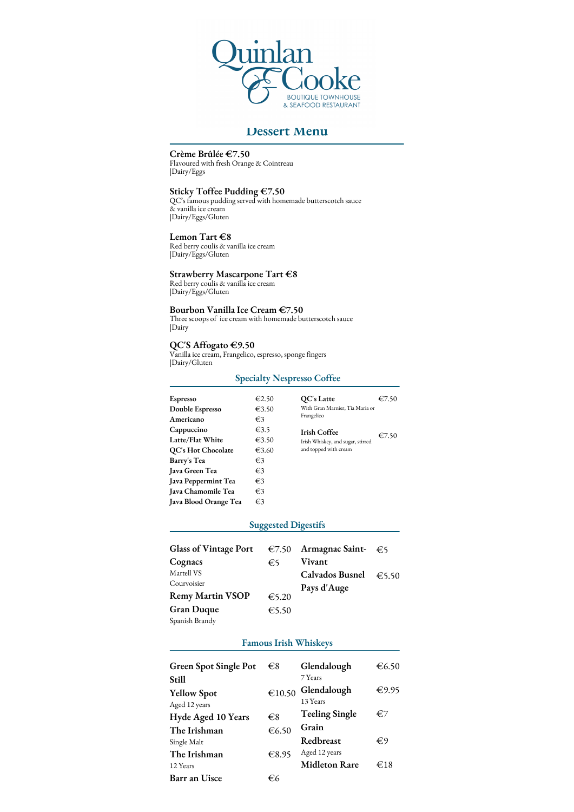

#### **Dessert Menu**

#### **Crème Brûlée €7.50**

Flavoured with fresh Orange & Cointreau |Dairy/Eggs

#### **Sticky Toffee Pudding €7.50**

QC's famous pudding served with homemade butterscotch sauce & vanilla ice cream |Dairy/Eggs/Gluten

#### **Lemon Tart €8**

Red berry coulis & vanilla ice cream |Dairy/Eggs/Gluten

#### **Strawberry Mascarpone Tart €8**

Red berry coulis & vanilla ice cream |Dairy/Eggs/Gluten

#### **Bourbon Vanilla Ice Cream €7.50**

Three scoops of ice cream with homemade butterscotch sauce |Dairy

#### **QC'S Affogato €9.50**

Vanilla ice cream, Frangelico, espresso, sponge fingers |Dairy/Gluten

#### **Specialty Nespresso Coffee**

| Espresso              | $\epsilon$ 2.50 | QC's Latte                                                                        | €7.50 |
|-----------------------|-----------------|-----------------------------------------------------------------------------------|-------|
| Double Espresso       | $\epsilon$ 3.50 | With Gran Marnier, Tia Maria or<br>Frangelico                                     |       |
| Americano             | €3              |                                                                                   |       |
| Cappuccino            | $\epsilon$ 3.5  | <b>Irish Coffee</b><br>Irish Whiskey, and sugar, stirred<br>and topped with cream | €7.50 |
| Latte/Flat White      | $\epsilon$ 3.50 |                                                                                   |       |
| QC's Hot Chocolate    | $\epsilon$ 3.60 |                                                                                   |       |
| Barry's Tea           | €3              |                                                                                   |       |
| Java Green Tea        | €3              |                                                                                   |       |
| Java Peppermint Tea   | €3              |                                                                                   |       |
| Java Chamomile Tea    | €3              |                                                                                   |       |
| Java Blood Orange Tea | €3              |                                                                                   |       |

#### **Suggested Digestifs**

| Glass of Vintage Port   | €7.50           | Armagnac Saint- $\epsilon$ 5 |       |
|-------------------------|-----------------|------------------------------|-------|
| Cognacs                 | €5              | Vivant                       |       |
| Martell VS              |                 | Calvados Busnel              | €5.50 |
| Courvoisier             |                 | Pays d'Auge                  |       |
| <b>Remy Martin VSOP</b> | $\epsilon$ 5.20 |                              |       |
| <b>Gran Duque</b>       | $\epsilon$ 5.50 |                              |       |
| Spanish Brandy          |                 |                              |       |

#### **Famous Irish Whiskeys**

| Green Spot Single Pot | €8              | Glendalough           | $\epsilon$ 6.50 |
|-----------------------|-----------------|-----------------------|-----------------|
| Still                 |                 | 7 Years               |                 |
| <b>Yellow Spot</b>    | €10.50          | Glendalough           | €9.95           |
| Aged 12 years         |                 | 13 Years              |                 |
| Hyde Aged 10 Years    | €8              | <b>Teeling Single</b> | €7              |
| The Irishman          | $\epsilon$ 6.50 | Grain                 |                 |
| Single Malt           |                 | Redbreast             | €9              |
| The Irishman          | €8.95           | Aged 12 years         |                 |
| 12 Years              |                 | <b>Midleton Rare</b>  | $\epsilon$ 18   |
| Barr an Uisce         | €6              |                       |                 |